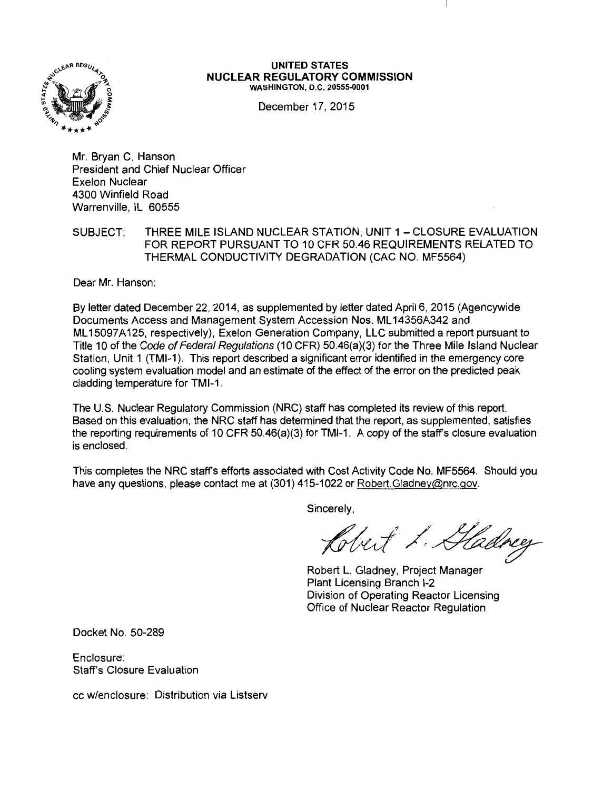

#### **UNITED STATES NUCLEAR REGULATORY COMMISSION**  WASHINGTON, D.C. 20555-0001

December 17, 2015

Mr. Bryan C. Hanson President and Chief Nuclear Officer Exelon Nuclear 4300 Winfield Road Warrenville, IL 60555

### SUBJECT: THREE MILE ISLAND NUCLEAR STATION, UNIT 1 - CLOSURE EVALUATION FOR REPORT PURSUANT TO 10 CFR 50.46 REQUIREMENTS RELATED TO THERMAL CONDUCTIVITY DEGRADATION (CAC NO. MF5564)

Dear Mr. Hanson:

By letter dated December 22, 2014, as supplemented by letter dated April 6, 2015 (Agencywide Documents Access and Management System Accession Nos. ML 14356A342 and ML 15097A125, respectively), Exelon Generation Company, LLC submitted a report pursuant to Title 10 of the Code of Federal Regulations (10 CFR) 50.46(a)(3) for the Three Mile Island Nuclear Station, Unit 1 (TMI-1). This report described a significant error identified in the emergency core cooling system evaluation model and an estimate of the effect of the error on the predicted peak cladding temperature for TMl-1.

The U.S. Nuclear Regulatory Commission (NRC) staff has completed its review of this report. Based on this evaluation, the NRC staff has determined that the report, as supplemented, satisfies the reporting requirements of 10 CFR 50.46(a)(3) for TMl-1. A copy of the staff's closure evaluation is enclosed.

This completes the NRC staff's efforts associated with Cost Activity Code No. MF5564. Should you have any questions, please contact me at (301) 415-1022 or Robert. Gladney@nrc.gov.

Sincerely,

Clert L. Hadrey

Robert L. Gladney, Project Manager Plant Licensing Branch 1-2 Division of Operating Reactor Licensing Office of Nuclear Reactor Regulation

Docket No. 50-289

Enclosure: Staff's Closure Evaluation

cc w/enclosure: Distribution via Listserv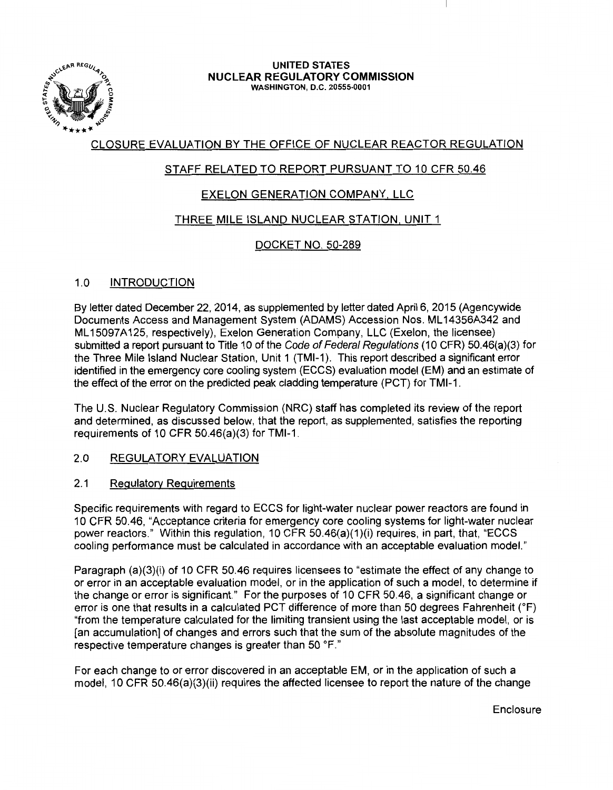

#### UNITED STATES NUCLEAR REGULATORY COMMISSION WASHINGTON, D.C. 20555-0001

# CLOSURE EVALUATION BY THE OFFICE OF NUCLEAR REACTOR REGULATION

# STAFF RELATED TO REPORT PURSUANT TO 10 CFR 50.46

# EXELON GENERATION COMPANY. LLC

# THREE MILE ISLAND NUCLEAR STATION. UNIT 1

# DOCKET NO. 50-289

# 1.0 INTRODUCTION

By letter dated December 22, 2014, as supplemented by letter dated April 6, 2015 (Agencywide Documents Access and Management System (ADAMS) Accession Nos. ML 14356A342 and ML 15097A125, respectively), Exelon Generation Company, LLC (Exelon, the licensee) submitted a report pursuant to Title 10 of the Code of Federal Regulations (10 CFR) 50.46(a)(3) for the Three Mile Island Nuclear Station, Unit 1 (TMI-1). This report described a significant error identified in the emergency core cooling system (ECCS) evaluation model (EM) and an estimate of the effect of the error on the predicted peak cladding temperature (PCT) for TMl-1.

The U.S. Nuclear Regulatory Commission (NRC) staff has completed its review of the report and determined, as discussed below, that the report, as supplemented, satisfies the reporting requirements of 10 CFR 50.46(a)(3) for TMl-1.

# 2.0 REGULATORY EVALUATION

# 2.1 Regulatory Requirements

Specific requirements with regard to ECCS for light-water nuclear power reactors are found in 10 CFR 50.46, "Acceptance criteria for emergency core cooling systems for light-water nuclear power reactors." Within this regulation, 10 CFR 50.46(a)(1 )(i) requires, in part, that, "ECCS cooling performance must be calculated in accordance with an acceptable evaluation model."

Paragraph (a)(3)(i) of 10 CFR 50.46 requires licensees to "estimate the effect of any change to or error in an acceptable evaluation model, or in the application of such a model, to determine if the change or error is significant." For the purposes of 10 CFR 50.46, a significant change or error is one that results in a calculated PCT difference of more than 50 degrees Fahrenheit (°F) "from the temperature calculated for the limiting transient using the last acceptable model, or is [an accumulation] of changes and errors such that the sum of the absolute magnitudes of the respective temperature changes is greater than 50 °F."

For each change to or error discovered in an acceptable EM, or in the application of such a model, 10 CFR 50.46(a)(3)(ii) requires the affected licensee to report the nature of the change

Enclosure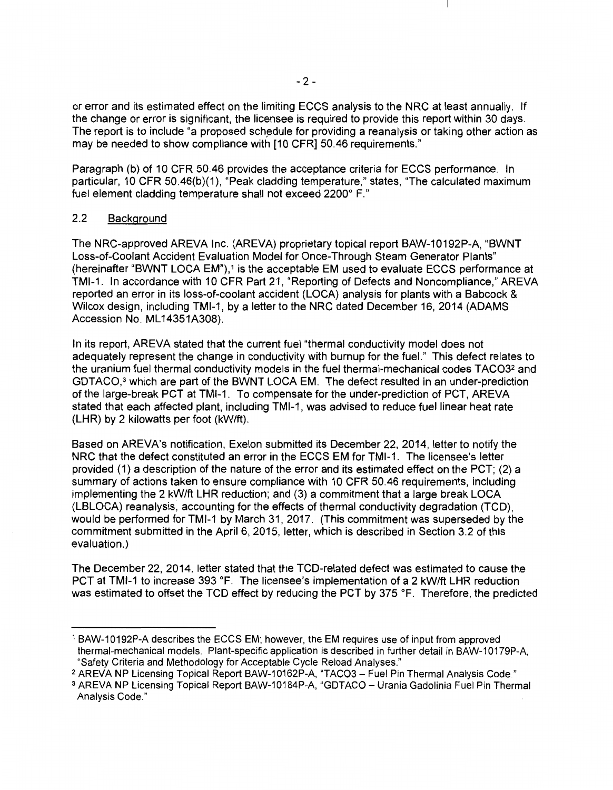or error and its estimated effect on the limiting ECCS analysis to the NRC at least annually. If the change or error is significant, the licensee is required to provide this report within 30 days. The report is to include "a proposed schedule for providing a reanalysis or taking other action as may be needed to show compliance with [10 CFR] 50.46 requirements."

Paragraph (b) of 10 CFR 50.46 provides the acceptance criteria for ECCS performance. In particular, 10 CFR 50.46(b)(1), "Peak cladding temperature," states, "The calculated maximum fuel element cladding temperature shall not exceed 2200° F."

#### 2.2 Background

The NRG-approved AREVA Inc. (AREVA) proprietary topical report BAW-10192P-A, "BWNT Loss-of-Coolant Accident Evaluation Model for Once-Through Steam Generator Plants" (hereinafter "BWNT LOCA EM"),<sup>1</sup> is the acceptable EM used to evaluate ECCS performance at TMl-1. In accordance with 10 CFR Part 21, "Reporting of Defects and Noncompliance," AREVA reported an error in its loss-of-coolant accident (LOCA) analysis for plants with a Babcock & Wilcox design, including TMl-1, by a letter to the NRC dated December 16, 2014 (ADAMS Accession No. ML 14351A308).

In its report, AREVA stated that the current fuel "thermal conductivity model does not adequately represent the change in conductivity with burnup for the fuel." This defect relates to the uranium fuel thermal conductivity models in the fuel thermal-mechanical codes TAC032 and GDTACO,<sup>3</sup> which are part of the BWNT LOCA EM. The defect resulted in an under-prediction of the large-break PCT at TMl-1. To compensate for the under-prediction of PCT, AREVA stated that each affected plant, including TMl-1, was advised to reduce fuel linear heat rate (LHR) by 2 kilowatts per foot (kW/ft).

Based on AREVA's notification, Exelon submitted its December 22, 2014, letter to notify the NRC that the defect constituted an error in the ECCS EM for TMl-1. The licensee's letter provided (1) a description of the nature of the error and its estimated effect on the PCT; (2) a summary of actions taken to ensure compliance with 10 CFR 50.46 requirements, including implementing the 2 kW/ft LHR reduction; and (3) a commitment that a large break LOCA (LBLOCA) reanalysis, accounting for the effects of thermal conductivity degradation (TCD), would be performed for TMl-1 by March 31, 2017. (This commitment was superseded by the commitment submitted in the April 6, 2015, letter, which is described in Section 3.2 of this evaluation.)

The December 22, 2014, letter stated that the TCD-related defect was estimated to cause the PCT at TMl-1 to increase 393 °F. The licensee's implementation of a 2 kW/ft LHR reduction was estimated to offset the TCD effect by reducing the PCT by 375 °F. Therefore, the predicted

<sup>1</sup>BAW-10192P-A describes the ECCS EM; however, the EM requires use of input from approved thermal-mechanical models. Plant-specific application is described in further detail in BAW-10179P-A, "Safety Criteria and Methodology for Acceptable Cycle Reload Analyses."

<sup>&</sup>lt;sup>2</sup> AREVA NP Licensing Topical Report BAW-10162P-A, "TACO3 - Fuel Pin Thermal Analysis Code."

<sup>&</sup>lt;sup>3</sup> AREVA NP Licensing Topical Report BAW-10184P-A, "GDTACO - Urania Gadolinia Fuel Pin Thermal Analysis Code."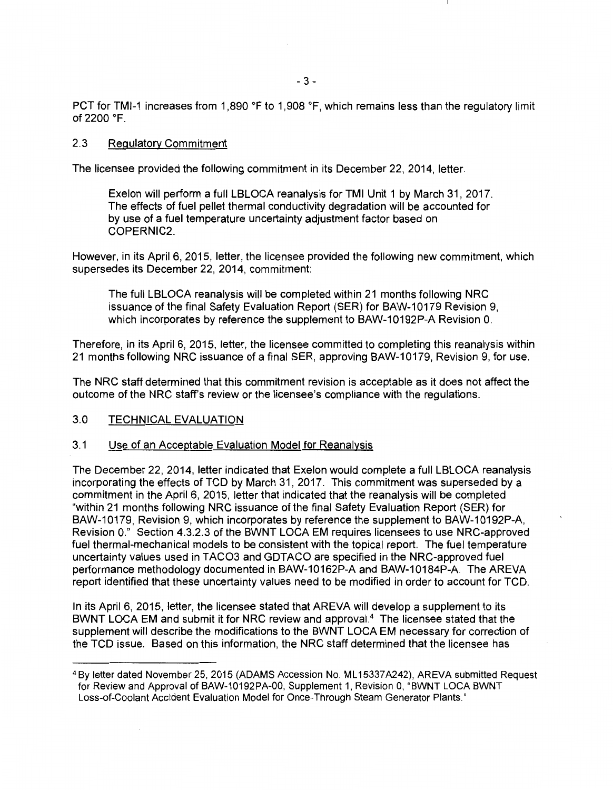PCT for TMl-1 increases from 1,890 °F to 1,908 °F, which remains less than the regulatory limit of 2200 °F.

### 2.3 Regulatory Commitment

The licensee provided the following commitment in its December 22, 2014, letter.

Exelon will perform a full LBLOCA reanalysis for TMI Unit 1 by March 31, 2017. The effects of fuel pellet thermal conductivity degradation will be accounted for by use of a fuel temperature uncertainty adjustment factor based on COPERNIC2.

However, in its April 6, 2015, letter, the licensee provided the following new commitment, which supersedes its December 22, 2014, commitment:

The full LBLOCA reanalysis will be completed within 21 months following NRC issuance of the final Safety Evaluation Report (SER) for BAW-10179 Revision 9, which incorporates by reference the supplement to BAW-10192P-A Revision 0.

Therefore, in its April 6, 2015, letter, the licensee committed to completing this reanalysis within 21 months following NRC issuance of a final SER, approving BAW-10179, Revision 9, for use.

The NRC staff determined that this commitment revision is acceptable as it does not affect the outcome of the NRC staff's review or the licensee's compliance with the regulations.

### 3.0 TECHNICAL EVALUATION

### 3.1 Use of an Acceptable Evaluation Model for Reanalysis

The December 22, 2014, letter indicated that Exelon would complete a full LBLOCA reanalysis incorporating the effects of TCD by March 31, 2017. This commitment was superseded by a commitment in the April 6, 2015, letter that indicated that the reanalysis will be completed "within 21 months following NRC issuance of the final Safety Evaluation Report (SER) for BAW-10179, Revision 9, which incorporates by reference the supplement to BAW-10192P-A, Revision O." Section 4.3.2.3 of the BWNT LOCA EM requires licensees to use NRG-approved fuel thermal-mechanical models to be consistent with the topical report. The fuel temperature uncertainty values used in TAC03 and GDTACO are specified in the NRG-approved fuel performance methodology documented in BAW-10162P-A and BAW-10184P-A. The AREVA report identified that these uncertainty values need to be modified in order to account for TCD.

In its April 6, 2015, letter, the licensee stated that AREVA will develop a supplement to its BWNT LOCA EM and submit it for NRC review and approval.<sup>4</sup> The licensee stated that the supplement will describe the modifications to the BWNT LOCA EM necessary for correction of the TCD issue. Based on this information, the NRC staff determined that the licensee has

<sup>4</sup>By letter dated November 25, 2015 (ADAMS Accession No. ML 15337 A242), AREVA submitted Request for Review and Approval of BAW-10192PA-OO, Supplement 1, Revision 0, "BWNT LOCA BWNT Loss-of-Coolant Accident Evaluation Model for Once-Through Steam Generator Plants."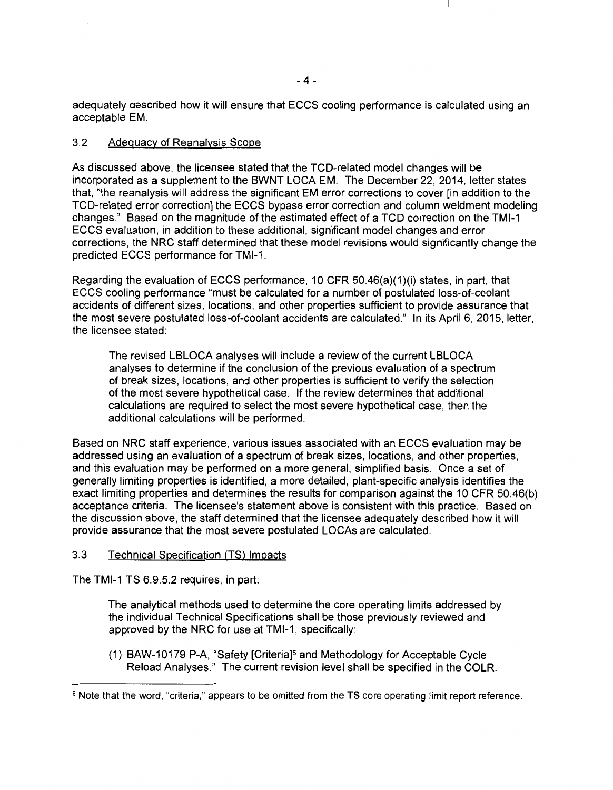adequately described how it will ensure that ECCS cooling performance is calculated using an acceptable EM.

### 3.2 Adequacy of Reanalysis Scope

As discussed above, the licensee stated that the TCD-related model changes will be incorporated as a supplement to the BWNT LOCA EM. The December 22, 2014, letter states that, "the reanalysis will address the significant EM error corrections to cover [in addition to the TCD-related error correction] the ECCS bypass error correction and column weldment modeling changes." Based on the magnitude of the estimated effect of a TCD correction on the TMl-1 ECCS evaluation, in addition to these additional, significant model changes and error corrections, the NRC staff determined that these model revisions would significantly change the predicted ECCS performance for TMl-1.

Regarding the evaluation of ECCS performance, 10 CFR 50.46(a)(1 )(i) states, in part, that ECCS cooling performance "must be calculated for a number of postulated loss-of-coolant accidents of different sizes, locations, and other properties sufficient to provide assurance that the most severe postulated loss-of-coolant accidents are calculated." In its April 6, 2015, letter, the licensee stated:

The revised LBLOCA analyses will include a review of the current LBLOCA analyses to determine if the conclusion of the previous evaluation of a spectrum of break sizes, locations, and other properties is sufficient to verify the selection of the most severe hypothetical case. If the review determines that additional calculations are required to select the most severe hypothetical case, then the additional calculations will be performed.

Based on NRC staff experience, various issues associated with an ECCS evaluation may be addressed using an evaluation of a spectrum of break sizes, locations, and other properties, and this evaluation may be performed on a more general, simplified basis. Once a set of generally limiting properties is identified, a more detailed, plant-specific analysis identifies the exact limiting properties and determines the results for comparison against the 10 CFR 50.46(b) acceptance criteria. The licensee's statement above is consistent with this practice. Based on the discussion above, the staff determined that the licensee adequately described how it will provide assurance that the most severe postulated LOCAs are calculated.

### 3.3 Technical Specification (TS) Impacts

The TMl-1 TS 6.9.5.2 requires, in part:

The analytical methods used to determine the core operating limits addressed by the individual Technical Specifications shall be those previously reviewed and approved by the NRC for use at TMl-1, specifically:

(1) BAW-10179 P-A, "Safety [Criteria]5 and Methodology for Acceptable Cycle Reload Analyses." The current revision level shall be specified in the COLR.

<sup>5</sup> Note that the word, "criteria," appears to be omitted from the TS core operating limit report reference.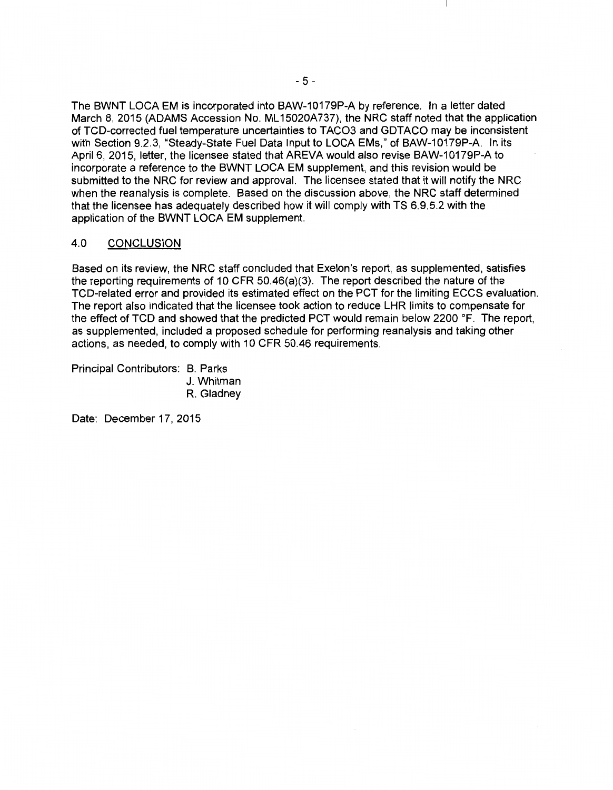The BWNT LOCA EM is incorporated into BAW-10179P-A by reference. In a letter dated March 8, 2015 (ADAMS Accession No. ML 15020A737), the NRC staff noted that the application of TCD-corrected fuel temperature uncertainties to TAC03 and GDTACO may be inconsistent with Section 9.2.3, "Steady-State Fuel Data Input to LOCA EMs," of BAW-10179P-A. In its April 6, 2015, letter, the licensee stated that AREVA would also revise BAW-10179P-A to incorporate a reference to the BWNT LOCA EM supplement, and this revision would be submitted to the NRC for review and approval. The licensee stated that it will notify the NRC when the reanalysis is complete. Based on the discussion above, the NRC staff determined that the licensee has adequately described how it will comply with TS 6.9.5.2 with the application of the BWNT LOCA EM supplement.

# 4.0 CONCLUSION

Based on its review, the NRC staff concluded that Exelon's report, as supplemented, satisfies the reporting requirements of 10 CFR 50.46(a)(3). The report described the nature of the TCD-related error and provided its estimated effect on the PCT for the limiting ECCS evaluation. The report also indicated that the licensee took action to reduce LHR limits to compensate for the effect of TCD and showed that the predicted PCT would remain below 2200 °F. The report, as supplemented, included a proposed schedule for performing reanalysis and taking other actions, as needed, to comply with 10 CFR 50.46 requirements.

Principal Contributors: B. Parks J. Whitman R. Gladney

Date: December 17, 2015